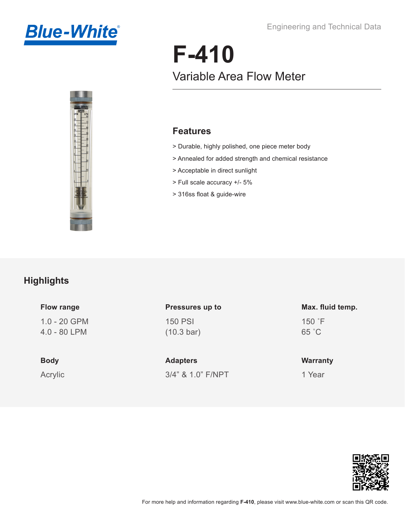



# **F-410** Variable Area Flow Meter

#### **Features**

- > Durable, highly polished, one piece meter body
- > Annealed for added strength and chemical resistance
- > Acceptable in direct sunlight
- > Full scale accuracy +/- 5%
- > 316ss float & guide-wire

### **Highlights**

| <b>Flow range</b>              | Pressures up to                        | Max. fluid temp.           |
|--------------------------------|----------------------------------------|----------------------------|
| $1.0 - 20$ GPM<br>4.0 - 80 LPM | <b>150 PSI</b><br>$(10.3 \text{ bar})$ | $150$ $\degree$ F<br>65 °C |
| <b>Body</b>                    | <b>Adapters</b>                        | <b>Warranty</b>            |
| Acrylic                        | 3/4" & 1.0" F/NPT                      | 1 Year                     |

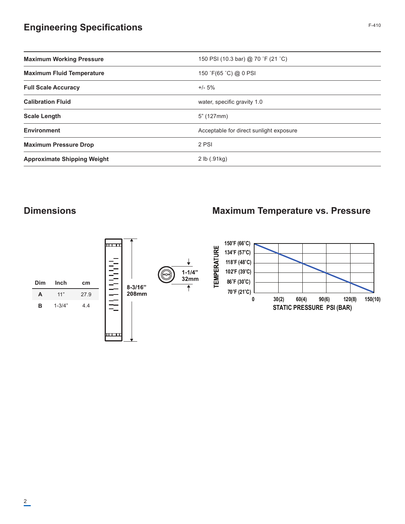# **Engineering Specifications** F-410

| <b>Maximum Working Pressure</b>    | 150 PSI (10.3 bar) @ 70 °F (21 °C)      |  |  |
|------------------------------------|-----------------------------------------|--|--|
| <b>Maximum Fluid Temperature</b>   | 150 °F(65 °C) @ 0 PSI                   |  |  |
| <b>Full Scale Accuracy</b>         | $+/- 5%$                                |  |  |
| <b>Calibration Fluid</b>           | water, specific gravity 1.0             |  |  |
| <b>Scale Length</b>                | 5" (127mm)                              |  |  |
| <b>Environment</b>                 | Acceptable for direct sunlight exposure |  |  |
| <b>Maximum Pressure Drop</b>       | 2 PSI                                   |  |  |
| <b>Approximate Shipping Weight</b> | 2 lb (.91kg)                            |  |  |
|                                    |                                         |  |  |

#### **Dimensions**

#### **Maximum Temperature vs. Pressure**

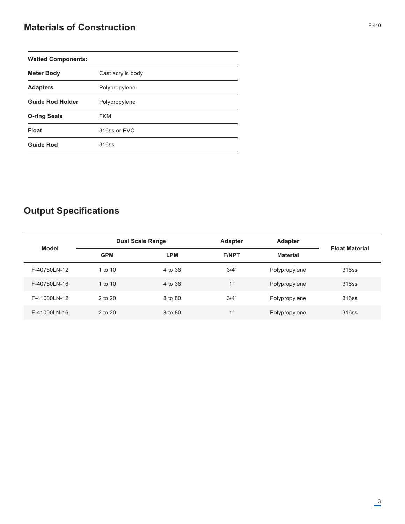# **Materials of Construction**

| <b>Wetted Components:</b> |                   |  |
|---------------------------|-------------------|--|
| <b>Meter Body</b>         | Cast acrylic body |  |
| <b>Adapters</b>           | Polypropylene     |  |
| <b>Guide Rod Holder</b>   | Polypropylene     |  |
| <b>O-ring Seals</b>       | <b>FKM</b>        |  |
| <b>Float</b>              | 316ss or PVC      |  |
| <b>Guide Rod</b>          | 316ss             |  |

# **Output Specifications**

| <b>Model</b> |            | <b>Dual Scale Range</b> |              | <b>Adapter</b>  |                       |
|--------------|------------|-------------------------|--------------|-----------------|-----------------------|
|              | <b>GPM</b> | <b>LPM</b>              | <b>F/NPT</b> | <b>Material</b> | <b>Float Material</b> |
| F-40750LN-12 | 1 to $10$  | 4 to 38                 | 3/4"         | Polypropylene   | 316ss                 |
| F-40750LN-16 | 1 to $10$  | 4 to 38                 | 1"           | Polypropylene   | 316ss                 |
| F-41000LN-12 | 2 to 20    | 8 to 80                 | 3/4"         | Polypropylene   | 316ss                 |
| F-41000LN-16 | 2 to 20    | 8 to 80                 | 1"           | Polypropylene   | 316ss                 |